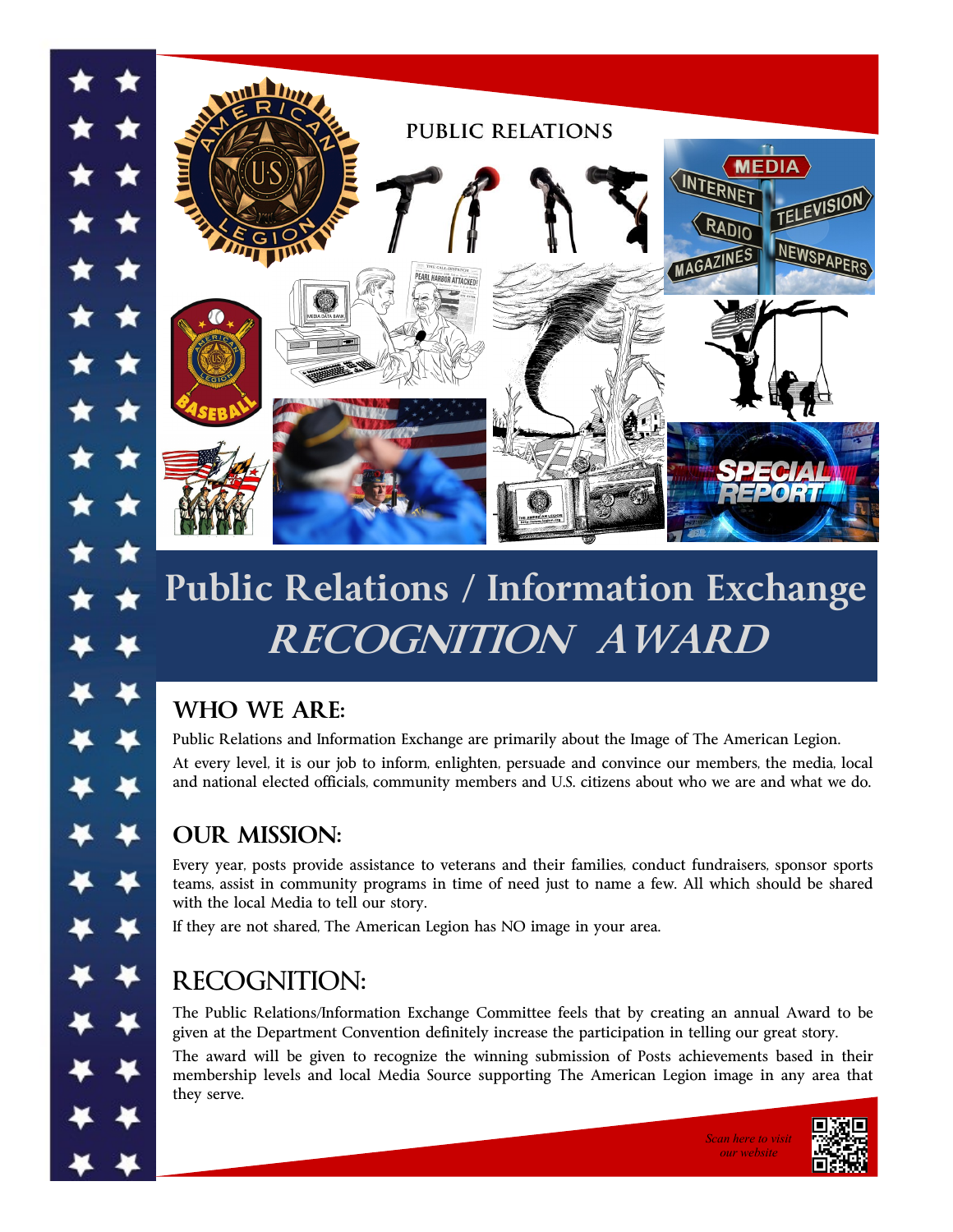

# **Public Relations / Information Exchange RECOGNITION AWARD**

### **WHO WE ARE:**

Public Relations and Information Exchange are primarily about the Image of The American Legion.

At every level, it is our job to inform, enlighten, persuade and convince our members, the media, local and national elected officials, community members and U.S. citizens about who we are and what we do.

### **OUR MISSION:**

Every year, posts provide assistance to veterans and their families, conduct fundraisers, sponsor sports teams, assist in community programs in time of need just to name a few. All which should be shared with the local Media to tell our story.

If they are not shared, The American Legion has NO image in your area.

## RECOGNITION:

The Public Relations/Information Exchange Committee feels that by creating an annual Award to be given at the Department Convention definitely increase the participation in telling our great story.

The award will be given to recognize the winning submission of Posts achievements based in their membership levels and local Media Source supporting The American Legion image in any area that they serve.



*our website*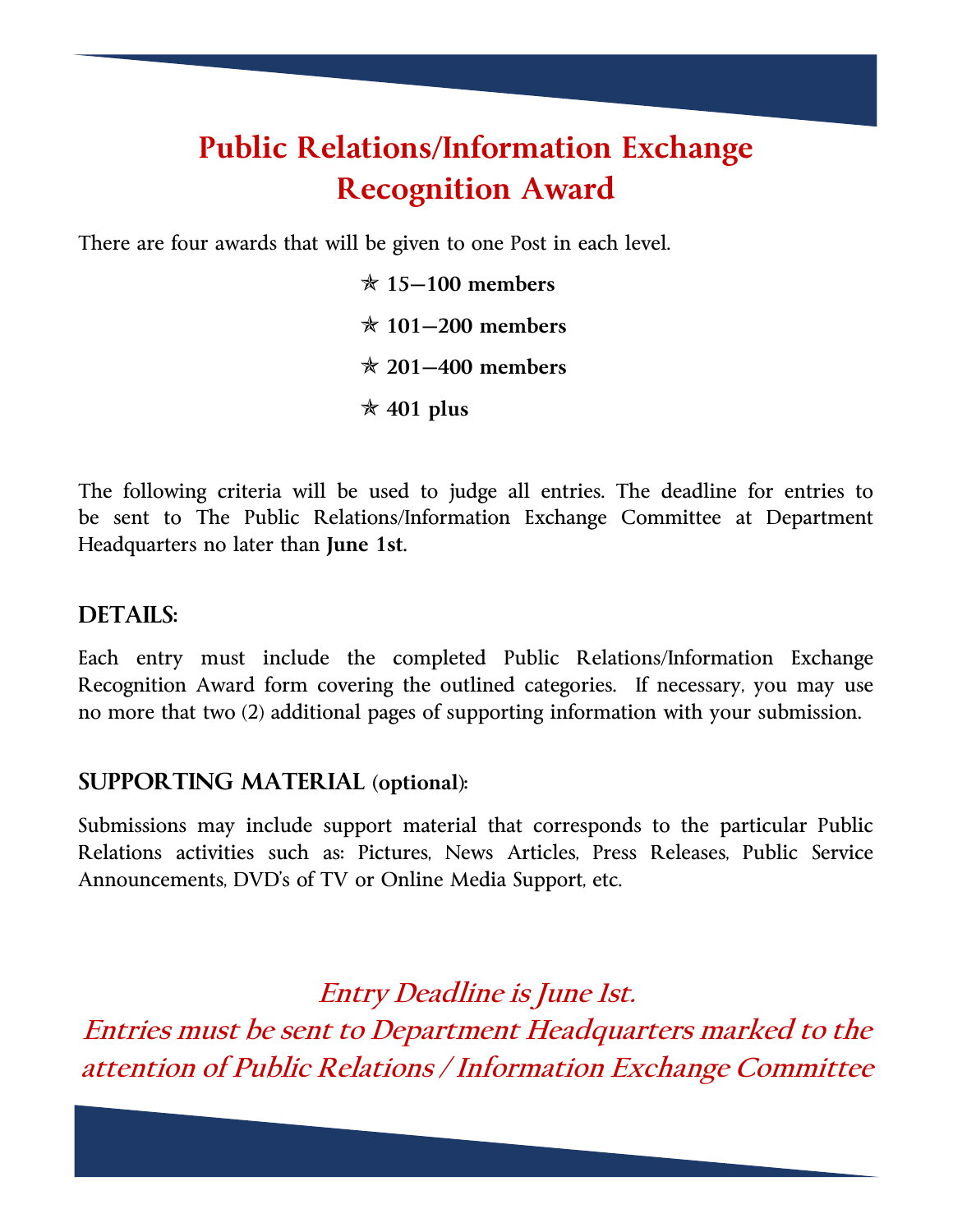## **Public Relations/Information Exchange Recognition Award**

There are four awards that will be given to one Post in each level.

 **15—100 members 101—200 members 201—400 members 401 plus** 

The following criteria will be used to judge all entries. The deadline for entries to be sent to The Public Relations/Information Exchange Committee at Department Headquarters no later than **June 1st.** 

#### **DETAILS:**

Each entry must include the completed Public Relations/Information Exchange Recognition Award form covering the outlined categories. If necessary, you may use no more that two (2) additional pages of supporting information with your submission.

#### **SUPPORTING MATERIAL (optional):**

Submissions may include support material that corresponds to the particular Public Relations activities such as: Pictures, News Articles, Press Releases, Public Service Announcements, DVD's of TV or Online Media Support, etc.

**Entry Deadline is June 1st. Entries must be sent to Department Headquarters marked to the attention of Public Relations / Information Exchange Committee**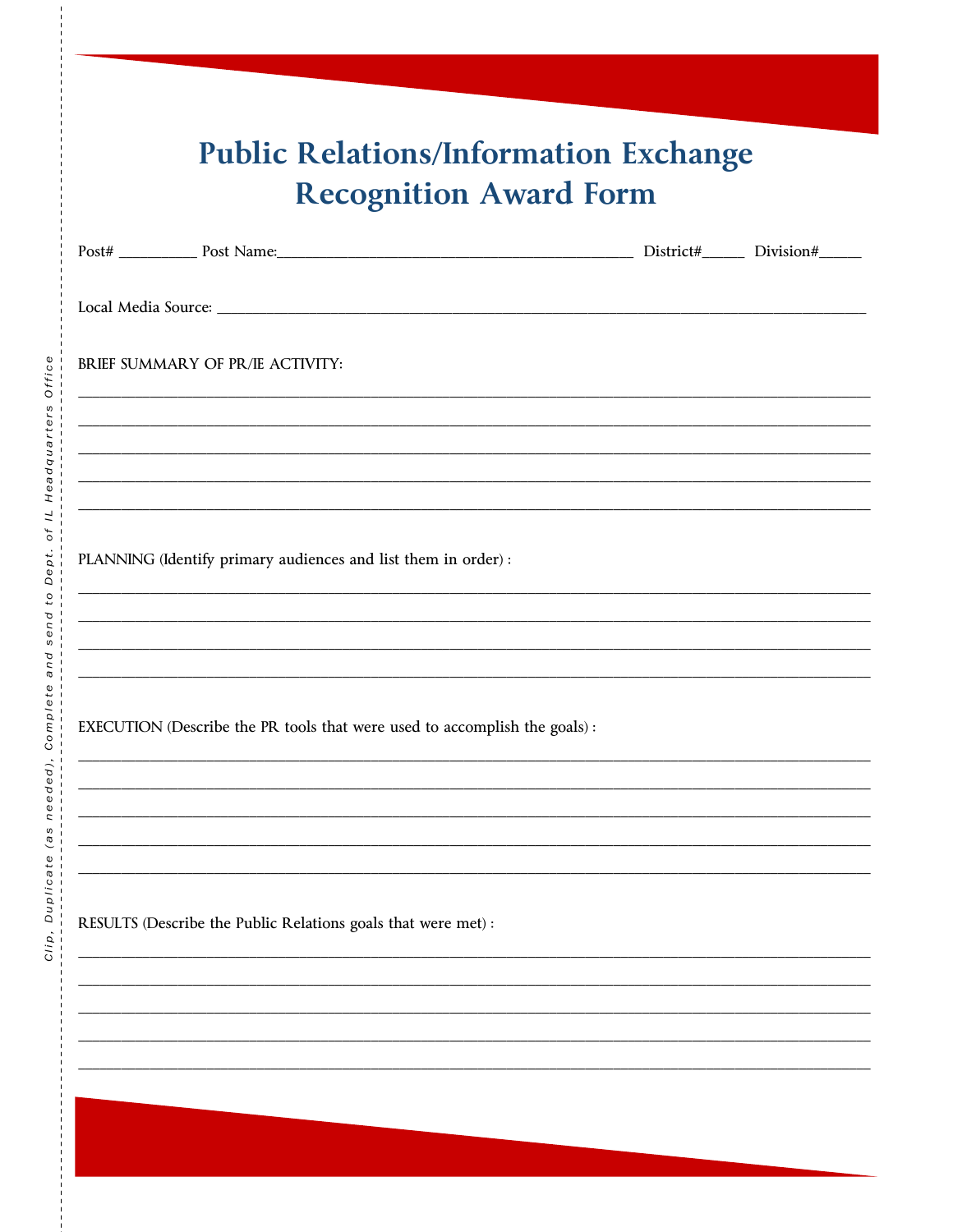| <b>Public Relations/Information Exchange</b> |
|----------------------------------------------|
| <b>Recognition Award Form</b>                |

| BRIEF SUMMARY OF PR/IE ACTIVITY:                                           |                                                               |  |  |  |  |
|----------------------------------------------------------------------------|---------------------------------------------------------------|--|--|--|--|
|                                                                            |                                                               |  |  |  |  |
|                                                                            |                                                               |  |  |  |  |
|                                                                            |                                                               |  |  |  |  |
| PLANNING (Identify primary audiences and list them in order) :             |                                                               |  |  |  |  |
|                                                                            |                                                               |  |  |  |  |
|                                                                            |                                                               |  |  |  |  |
| EXECUTION (Describe the PR tools that were used to accomplish the goals) : |                                                               |  |  |  |  |
|                                                                            |                                                               |  |  |  |  |
|                                                                            |                                                               |  |  |  |  |
|                                                                            |                                                               |  |  |  |  |
|                                                                            | RESULTS (Describe the Public Relations goals that were met) : |  |  |  |  |

 $\frac{1}{2}$  =  $\frac{1}{2}$  =  $\frac{1}{2}$  =  $\frac{1}{2}$  =  $\frac{1}{2}$ 

İ